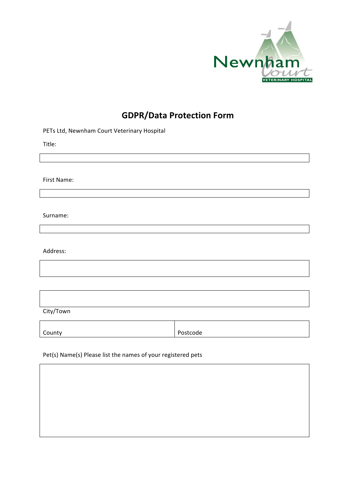

## **GDPR/Data Protection Form**

## PETs Ltd, Newnham Court Veterinary Hospital

Title:

First Name:

Surname:

Address:

City/Town

County Postcode

Pet(s) Name(s) Please list the names of your registered pets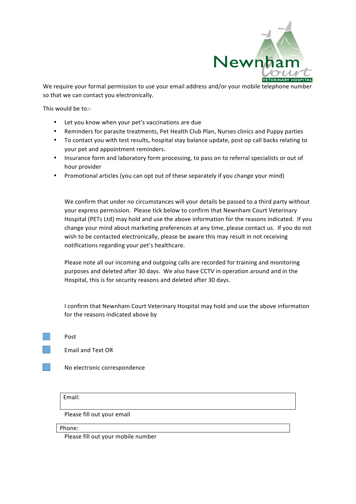

We require your formal permission to use your email address and/or your mobile telephone number so that we can contact you electronically.

This would be to:-

- Let you know when your pet's vaccinations are due
- Reminders for parasite treatments, Pet Health Club Plan, Nurses clinics and Puppy parties
- To contact you with test results, hospital stay balance update, post op call backs relating to your pet and appointment reminders.
- Insurance form and laboratory form processing, to pass on to referral specialists or out of hour provider
- Promotional articles (you can opt out of these separately if you change your mind)

We confirm that under no circumstances will your details be passed to a third party without your express permission. Please tick below to confirm that Newnham Court Veterinary Hospital (PETs Ltd) may hold and use the above information for the reasons indicated. If you change your mind about marketing preferences at any time, please contact us. If you do not wish to be contacted electronically, please be aware this may result in not receiving notifications regarding your pet's healthcare.

Please note all our incoming and outgoing calls are recorded for training and monitoring purposes and deleted after 30 days. We also have CCTV in operation around and in the Hospital, this is for security reasons and deleted after 30 days.

I confirm that Newnham Court Veterinary Hospital may hold and use the above information for the reasons indicated above by

Post

Email and Text OR

No electronic correspondence

Email:

Please fill out your email

Phone:

Please fill out your mobile number